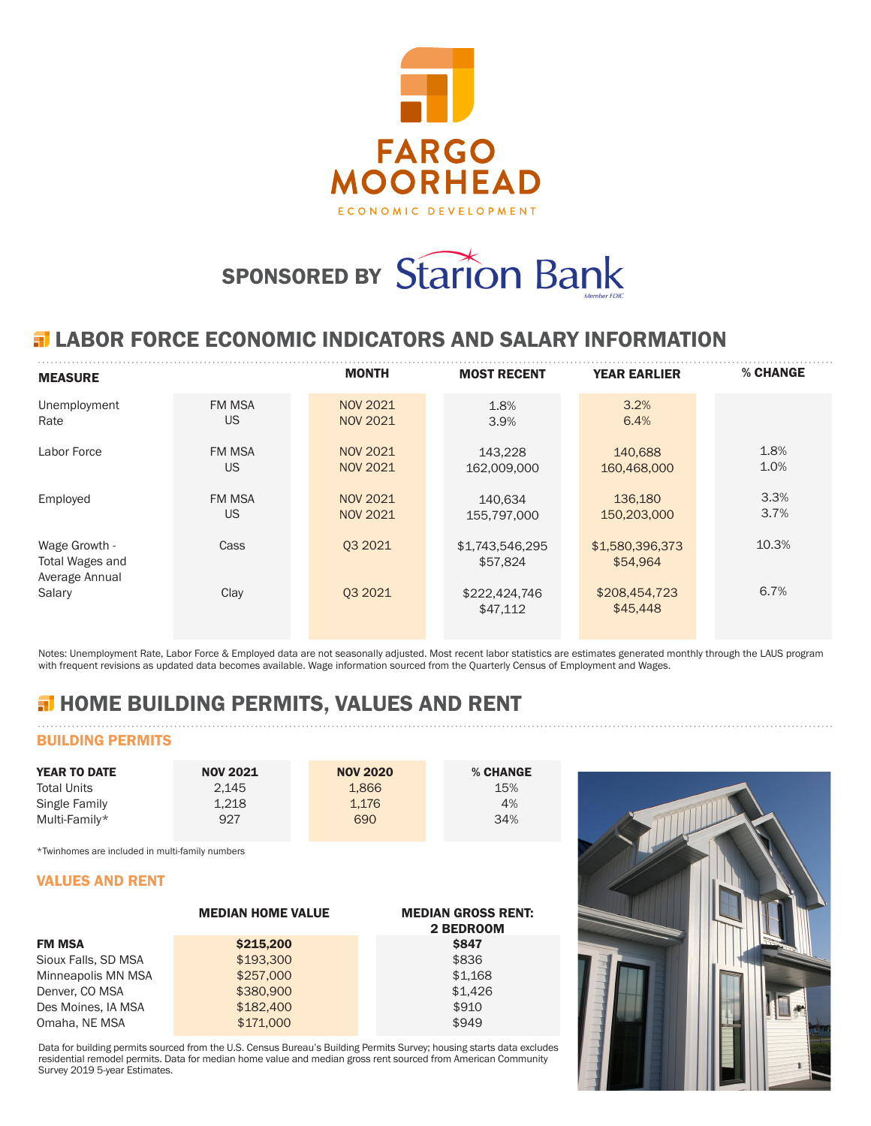

# SPONSORED BY Starion Bank

## **ELABOR FORCE ECONOMIC INDICATORS AND SALARY INFORMATION**

| <b>MEASURE</b>                                     |                            | <b>MONTH</b>                       | <b>MOST RECENT</b>          | <b>YEAR EARLIER</b>         | % CHANGE     |
|----------------------------------------------------|----------------------------|------------------------------------|-----------------------------|-----------------------------|--------------|
| Unemployment<br>Rate                               | <b>FM MSA</b><br>US        | <b>NOV 2021</b><br><b>NOV 2021</b> | 1.8%<br>3.9%                | 3.2%<br>6.4%                |              |
| Labor Force                                        | <b>FM MSA</b><br><b>US</b> | NOV 2021<br><b>NOV 2021</b>        | 143,228<br>162,009,000      | 140,688<br>160,468,000      | 1.8%<br>1.0% |
| Employed                                           | <b>FM MSA</b><br>US        | <b>NOV 2021</b><br><b>NOV 2021</b> | 140.634<br>155.797.000      | 136,180<br>150,203,000      | 3.3%<br>3.7% |
| Wage Growth -<br>Total Wages and<br>Average Annual | Cass                       | 03 20 21                           | \$1,743,546,295<br>\$57,824 | \$1,580,396,373<br>\$54.964 | 10.3%        |
| Salary                                             | Clay                       | 03 20 21                           | \$222,424,746<br>\$47,112   | \$208,454,723<br>\$45,448   | 6.7%         |

Notes: Unemployment Rate, Labor Force & Employed data are not seasonally adjusted. Most recent labor statistics are estimates generated monthly through the LAUS program with frequent revisions as updated data becomes available. Wage information sourced from the Quarterly Census of Employment and Wages.

# **H** HOME BUILDING PERMITS, VALUES AND RENT

## BUILDING PERMITS

| <b>YEAR TO DATE</b> | <b>NOV 2021</b> | <b>NOV 2020</b> | % CHANGE |
|---------------------|-----------------|-----------------|----------|
| <b>Total Units</b>  | 2.145           | 1.866           | 15%      |
| Single Family       | 1.218           | 1.176           | 4%       |
| Multi-Family*       | 927             | 690             | 34%      |

\*Twinhomes are included in multi-family numbers

#### VALUES AND RENT

|                     | <b>MEDIAN HOME VALUE</b> | <b>MEDIAN GROSS RENT:</b><br>2 BEDROOM |
|---------------------|--------------------------|----------------------------------------|
| <b>FM MSA</b>       | \$215,200                | <b>\$847</b>                           |
| Sioux Falls, SD MSA | \$193,300                | \$836                                  |
| Minneapolis MN MSA  | \$257,000                | \$1,168                                |
| Denver, CO MSA      | \$380,900                | \$1.426                                |
| Des Moines, IA MSA  | \$182,400                | \$910                                  |
| Omaha, NE MSA       | \$171,000                | \$949                                  |

Data for building permits sourced from the U.S. Census Bureau's Building Permits Survey; housing starts data excludes residential remodel permits. Data for median home value and median gross rent sourced from American Community Survey 2019 5-year Estimates.